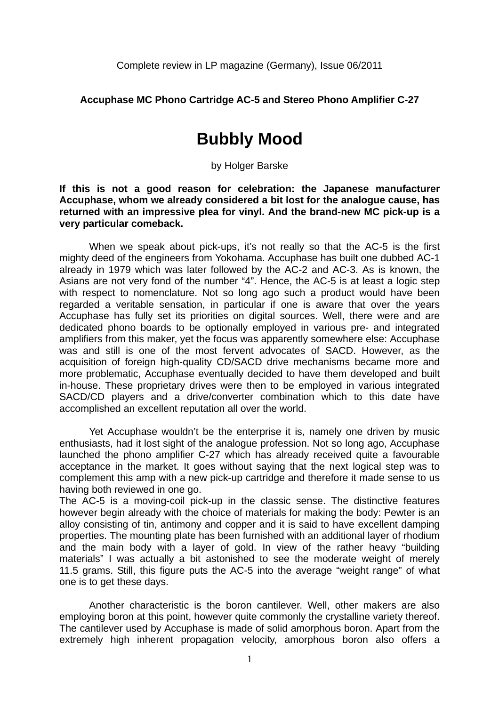## **Accuphase MC Phono Cartridge AC-5 and Stereo Phono Amplifier C-27**

## **Bubbly Mood**

by Holger Barske

**If this is not a good reason for celebration: the Japanese manufacturer Accuphase, whom we already considered a bit lost for the analogue cause, has returned with an impressive plea for vinyl. And the brand-new MC pick-up is a very particular comeback.** 

When we speak about pick-ups, it's not really so that the AC-5 is the first mighty deed of the engineers from Yokohama. Accuphase has built one dubbed AC-1 already in 1979 which was later followed by the AC-2 and AC-3. As is known, the Asians are not very fond of the number "4". Hence, the AC-5 is at least a logic step with respect to nomenclature. Not so long ago such a product would have been regarded a veritable sensation, in particular if one is aware that over the years Accuphase has fully set its priorities on digital sources. Well, there were and are dedicated phono boards to be optionally employed in various pre- and integrated amplifiers from this maker, yet the focus was apparently somewhere else: Accuphase was and still is one of the most fervent advocates of SACD. However, as the acquisition of foreign high-quality CD/SACD drive mechanisms became more and more problematic, Accuphase eventually decided to have them developed and built in-house. These proprietary drives were then to be employed in various integrated SACD/CD players and a drive/converter combination which to this date have accomplished an excellent reputation all over the world.

 Yet Accuphase wouldn't be the enterprise it is, namely one driven by music enthusiasts, had it lost sight of the analogue profession. Not so long ago, Accuphase launched the phono amplifier C-27 which has already received quite a favourable acceptance in the market. It goes without saying that the next logical step was to complement this amp with a new pick-up cartridge and therefore it made sense to us having both reviewed in one go.

The AC-5 is a moving-coil pick-up in the classic sense. The distinctive features however begin already with the choice of materials for making the body: Pewter is an alloy consisting of tin, antimony and copper and it is said to have excellent damping properties. The mounting plate has been furnished with an additional layer of rhodium and the main body with a layer of gold. In view of the rather heavy "building materials" I was actually a bit astonished to see the moderate weight of merely 11.5 grams. Still, this figure puts the AC-5 into the average "weight range" of what one is to get these days.

 Another characteristic is the boron cantilever. Well, other makers are also employing boron at this point, however quite commonly the crystalline variety thereof. The cantilever used by Accuphase is made of solid amorphous boron. Apart from the extremely high inherent propagation velocity, amorphous boron also offers a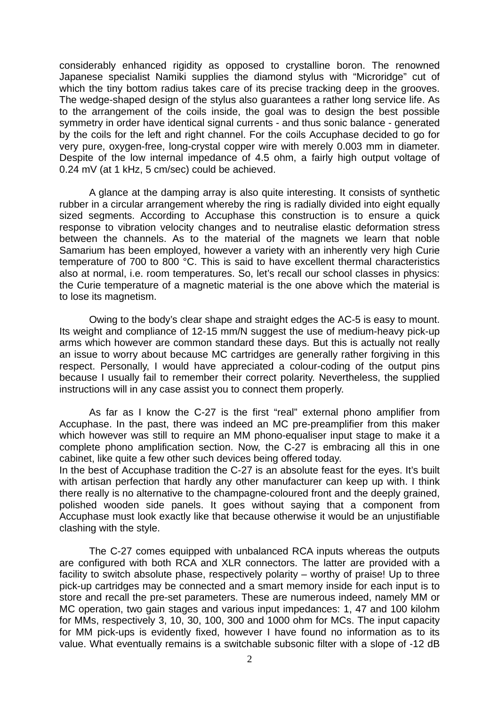considerably enhanced rigidity as opposed to crystalline boron. The renowned Japanese specialist Namiki supplies the diamond stylus with "Microridge" cut of which the tiny bottom radius takes care of its precise tracking deep in the grooves. The wedge-shaped design of the stylus also guarantees a rather long service life. As to the arrangement of the coils inside, the goal was to design the best possible symmetry in order have identical signal currents - and thus sonic balance - generated by the coils for the left and right channel. For the coils Accuphase decided to go for very pure, oxygen-free, long-crystal copper wire with merely 0.003 mm in diameter. Despite of the low internal impedance of 4.5 ohm, a fairly high output voltage of 0.24 mV (at 1 kHz, 5 cm/sec) could be achieved.

 A glance at the damping array is also quite interesting. It consists of synthetic rubber in a circular arrangement whereby the ring is radially divided into eight equally sized segments. According to Accuphase this construction is to ensure a quick response to vibration velocity changes and to neutralise elastic deformation stress between the channels. As to the material of the magnets we learn that noble Samarium has been employed, however a variety with an inherently very high Curie temperature of 700 to 800 °C. This is said to have excellent thermal characteristics also at normal, i.e. room temperatures. So, let's recall our school classes in physics: the Curie temperature of a magnetic material is the one above which the material is to lose its magnetism.

Owing to the body's clear shape and straight edges the AC-5 is easy to mount. Its weight and compliance of 12-15 mm/N suggest the use of medium-heavy pick-up arms which however are common standard these days. But this is actually not really an issue to worry about because MC cartridges are generally rather forgiving in this respect. Personally, I would have appreciated a colour-coding of the output pins because I usually fail to remember their correct polarity. Nevertheless, the supplied instructions will in any case assist you to connect them properly.

 As far as I know the C-27 is the first "real" external phono amplifier from Accuphase. In the past, there was indeed an MC pre-preamplifier from this maker which however was still to require an MM phono-equaliser input stage to make it a complete phono amplification section. Now, the C-27 is embracing all this in one cabinet, like quite a few other such devices being offered today.

In the best of Accuphase tradition the C-27 is an absolute feast for the eyes. It's built with artisan perfection that hardly any other manufacturer can keep up with. I think there really is no alternative to the champagne-coloured front and the deeply grained, polished wooden side panels. It goes without saying that a component from Accuphase must look exactly like that because otherwise it would be an unjustifiable clashing with the style.

 The C-27 comes equipped with unbalanced RCA inputs whereas the outputs are configured with both RCA and XLR connectors. The latter are provided with a facility to switch absolute phase, respectively polarity – worthy of praise! Up to three pick-up cartridges may be connected and a smart memory inside for each input is to store and recall the pre-set parameters. These are numerous indeed, namely MM or MC operation, two gain stages and various input impedances: 1, 47 and 100 kilohm for MMs, respectively 3, 10, 30, 100, 300 and 1000 ohm for MCs. The input capacity for MM pick-ups is evidently fixed, however I have found no information as to its value. What eventually remains is a switchable subsonic filter with a slope of -12 dB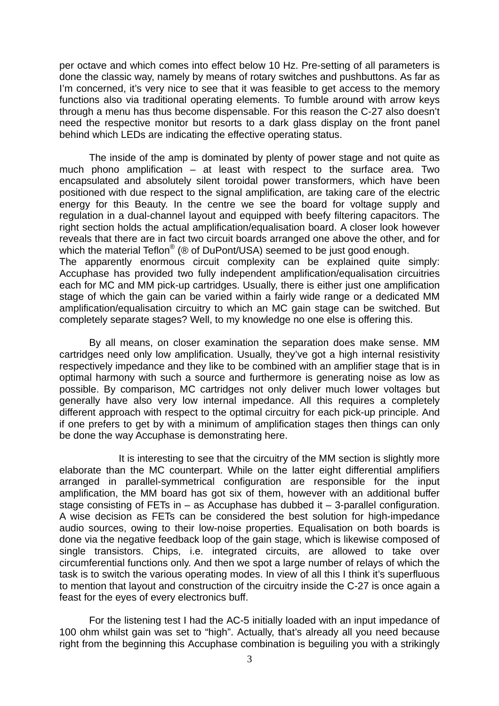per octave and which comes into effect below 10 Hz. Pre-setting of all parameters is done the classic way, namely by means of rotary switches and pushbuttons. As far as I'm concerned, it's very nice to see that it was feasible to get access to the memory functions also via traditional operating elements. To fumble around with arrow keys through a menu has thus become dispensable. For this reason the C-27 also doesn't need the respective monitor but resorts to a dark glass display on the front panel behind which LEDs are indicating the effective operating status.

 The inside of the amp is dominated by plenty of power stage and not quite as much phono amplification – at least with respect to the surface area. Two encapsulated and absolutely silent toroidal power transformers, which have been positioned with due respect to the signal amplification, are taking care of the electric energy for this Beauty. In the centre we see the board for voltage supply and regulation in a dual-channel layout and equipped with beefy filtering capacitors. The right section holds the actual amplification/equalisation board. A closer look however reveals that there are in fact two circuit boards arranged one above the other, and for which the material Teflon<sup>®</sup> (® of DuPont/USA) seemed to be just good enough. The apparently enormous circuit complexity can be explained quite simply: Accuphase has provided two fully independent amplification/equalisation circuitries each for MC and MM pick-up cartridges. Usually, there is either just one amplification stage of which the gain can be varied within a fairly wide range or a dedicated MM amplification/equalisation circuitry to which an MC gain stage can be switched. But completely separate stages? Well, to my knowledge no one else is offering this.

By all means, on closer examination the separation does make sense. MM cartridges need only low amplification. Usually, they've got a high internal resistivity respectively impedance and they like to be combined with an amplifier stage that is in optimal harmony with such a source and furthermore is generating noise as low as possible. By comparison, MC cartridges not only deliver much lower voltages but generally have also very low internal impedance. All this requires a completely different approach with respect to the optimal circuitry for each pick-up principle. And if one prefers to get by with a minimum of amplification stages then things can only be done the way Accuphase is demonstrating here.

 It is interesting to see that the circuitry of the MM section is slightly more elaborate than the MC counterpart. While on the latter eight differential amplifiers arranged in parallel-symmetrical configuration are responsible for the input amplification, the MM board has got six of them, however with an additional buffer stage consisting of FETs in  $-$  as Accuphase has dubbed it  $-$  3-parallel configuration. A wise decision as FETs can be considered the best solution for high-impedance audio sources, owing to their low-noise properties. Equalisation on both boards is done via the negative feedback loop of the gain stage, which is likewise composed of single transistors. Chips, i.e. integrated circuits, are allowed to take over circumferential functions only. And then we spot a large number of relays of which the task is to switch the various operating modes. In view of all this I think it's superfluous to mention that layout and construction of the circuitry inside the C-27 is once again a feast for the eyes of every electronics buff.

 For the listening test I had the AC-5 initially loaded with an input impedance of 100 ohm whilst gain was set to "high". Actually, that's already all you need because right from the beginning this Accuphase combination is beguiling you with a strikingly